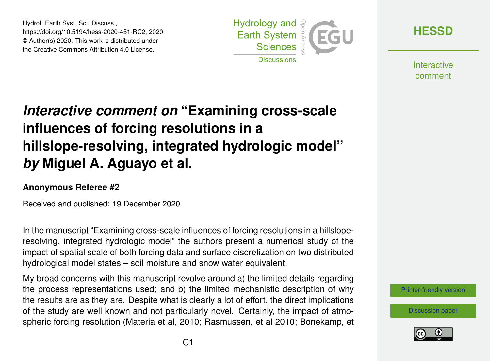Hydrol. Earth Syst. Sci. Discuss., https://doi.org/10.5194/hess-2020-451-RC2, 2020 © Author(s) 2020. This work is distributed under the Creative Commons Attribution 4.0 License.



**[HESSD](https://hess.copernicus.org/preprints/)**

**Interactive** comment

# *Interactive comment on* **"Examining cross-scale influences of forcing resolutions in a hillslope-resolving, integrated hydrologic model"** *by* **Miguel A. Aguayo et al.**

#### **Anonymous Referee #2**

Received and published: 19 December 2020

In the manuscript "Examining cross-scale influences of forcing resolutions in a hillsloperesolving, integrated hydrologic model" the authors present a numerical study of the impact of spatial scale of both forcing data and surface discretization on two distributed hydrological model states – soil moisture and snow water equivalent.

My broad concerns with this manuscript revolve around a) the limited details regarding the process representations used; and b) the limited mechanistic description of why the results are as they are. Despite what is clearly a lot of effort, the direct implications of the study are well known and not particularly novel. Certainly, the impact of atmospheric forcing resolution (Materia et al, 2010; Rasmussen, et al 2010; Bonekamp, et

[Printer-friendly version](https://hess.copernicus.org/preprints/hess-2020-451/hess-2020-451-RC2-print.pdf)

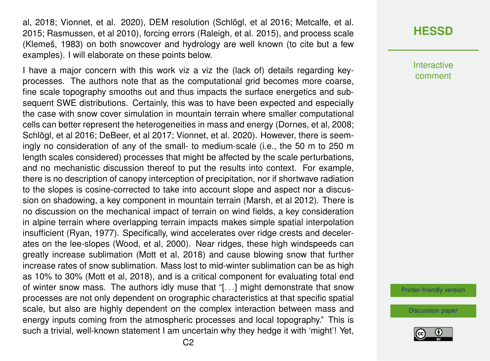al, 2018; Vionnet, et al. 2020), DEM resolution (Schlögl, et al 2016; Metcalfe, et al. 2015; Rasmussen, et al 2010), forcing errors (Raleigh, et al. 2015), and process scale (Klemeš, 1983) on both snowcover and hydrology are well known (to cite but a few examples). I will elaborate on these points below.

I have a major concern with this work viz a viz the (lack of) details regarding keyprocesses. The authors note that as the computational grid becomes more coarse, fine scale topography smooths out and thus impacts the surface energetics and subsequent SWE distributions. Certainly, this was to have been expected and especially the case with snow cover simulation in mountain terrain where smaller computational cells can better represent the heterogeneities in mass and energy (Dornes, et al, 2008; Schlögl, et al 2016; DeBeer, et al 2017; Vionnet, et al. 2020). However, there is seemingly no consideration of any of the small- to medium-scale (i.e., the 50 m to 250 m length scales considered) processes that might be affected by the scale perturbations, and no mechanistic discussion thereof to put the results into context. For example, there is no description of canopy interception of precipitation, nor if shortwave radiation to the slopes is cosine-corrected to take into account slope and aspect nor a discussion on shadowing, a key component in mountain terrain (Marsh, et al 2012). There is no discussion on the mechanical impact of terrain on wind fields, a key consideration in alpine terrain where overlapping terrain impacts makes simple spatial interpolation insufficient (Ryan, 1977). Specifically, wind accelerates over ridge crests and decelerates on the lee-slopes (Wood, et al, 2000). Near ridges, these high windspeeds can greatly increase sublimation (Mott et al, 2018) and cause blowing snow that further increase rates of snow sublimation. Mass lost to mid-winter sublimation can be as high as 10% to 30% (Mott et al, 2018), and is a critical component for evaluating total end of winter snow mass. The authors idly muse that "[. . .] might demonstrate that snow processes are not only dependent on orographic characteristics at that specific spatial scale, but also are highly dependent on the complex interaction between mass and energy inputs coming from the atmospheric processes and local topography." This is such a trivial, well-known statement I am uncertain why they hedge it with 'might'! Yet, Interactive comment

[Printer-friendly version](https://hess.copernicus.org/preprints/hess-2020-451/hess-2020-451-RC2-print.pdf)

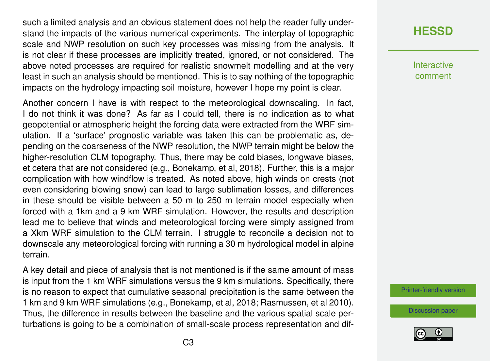such a limited analysis and an obvious statement does not help the reader fully understand the impacts of the various numerical experiments. The interplay of topographic scale and NWP resolution on such key processes was missing from the analysis. It is not clear if these processes are implicitly treated, ignored, or not considered. The above noted processes are required for realistic snowmelt modelling and at the very least in such an analysis should be mentioned. This is to say nothing of the topographic impacts on the hydrology impacting soil moisture, however I hope my point is clear.

Another concern I have is with respect to the meteorological downscaling. In fact, I do not think it was done? As far as I could tell, there is no indication as to what geopotential or atmospheric height the forcing data were extracted from the WRF simulation. If a 'surface' prognostic variable was taken this can be problematic as, depending on the coarseness of the NWP resolution, the NWP terrain might be below the higher-resolution CLM topography. Thus, there may be cold biases, longwave biases, et cetera that are not considered (e.g., Bonekamp, et al, 2018). Further, this is a major complication with how windflow is treated. As noted above, high winds on crests (not even considering blowing snow) can lead to large sublimation losses, and differences in these should be visible between a 50 m to 250 m terrain model especially when forced with a 1km and a 9 km WRF simulation. However, the results and description lead me to believe that winds and meteorological forcing were simply assigned from a Xkm WRF simulation to the CLM terrain. I struggle to reconcile a decision not to downscale any meteorological forcing with running a 30 m hydrological model in alpine terrain.

A key detail and piece of analysis that is not mentioned is if the same amount of mass is input from the 1 km WRF simulations versus the 9 km simulations. Specifically, there is no reason to expect that cumulative seasonal precipitation is the same between the 1 km and 9 km WRF simulations (e.g., Bonekamp, et al, 2018; Rasmussen, et al 2010). Thus, the difference in results between the baseline and the various spatial scale perturbations is going to be a combination of small-scale process representation and dif-

## **[HESSD](https://hess.copernicus.org/preprints/)**

Interactive comment

[Printer-friendly version](https://hess.copernicus.org/preprints/hess-2020-451/hess-2020-451-RC2-print.pdf)

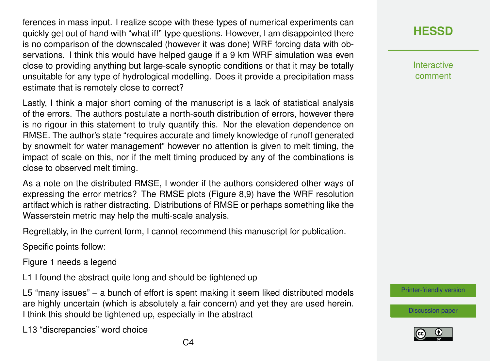ferences in mass input. I realize scope with these types of numerical experiments can quickly get out of hand with "what if!" type questions. However, I am disappointed there is no comparison of the downscaled (however it was done) WRF forcing data with observations. I think this would have helped gauge if a 9 km WRF simulation was even close to providing anything but large-scale synoptic conditions or that it may be totally unsuitable for any type of hydrological modelling. Does it provide a precipitation mass estimate that is remotely close to correct?

Lastly, I think a major short coming of the manuscript is a lack of statistical analysis of the errors. The authors postulate a north-south distribution of errors, however there is no rigour in this statement to truly quantify this. Nor the elevation dependence on RMSE. The author's state "requires accurate and timely knowledge of runoff generated by snowmelt for water management" however no attention is given to melt timing, the impact of scale on this, nor if the melt timing produced by any of the combinations is close to observed melt timing.

As a note on the distributed RMSE, I wonder if the authors considered other ways of expressing the error metrics? The RMSE plots (Figure 8,9) have the WRF resolution artifact which is rather distracting. Distributions of RMSE or perhaps something like the Wasserstein metric may help the multi-scale analysis.

Regrettably, in the current form, I cannot recommend this manuscript for publication.

Specific points follow:

Figure 1 needs a legend

L1 I found the abstract quite long and should be tightened up

L5 "many issues" – a bunch of effort is spent making it seem liked distributed models are highly uncertain (which is absolutely a fair concern) and yet they are used herein. I think this should be tightened up, especially in the abstract

L13 "discrepancies" word choice

**[HESSD](https://hess.copernicus.org/preprints/)**

**Interactive** comment

[Printer-friendly version](https://hess.copernicus.org/preprints/hess-2020-451/hess-2020-451-RC2-print.pdf)

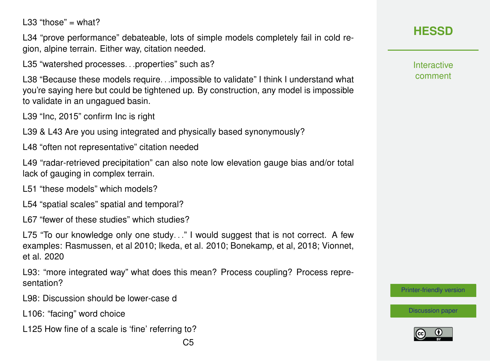$LS3$  "those" = what?

L34 "prove performance" debateable, lots of simple models completely fail in cold region, alpine terrain. Either way, citation needed.

L35 "watershed processes...properties" such as?

L38 "Because these models require. . .impossible to validate" I think I understand what you're saying here but could be tightened up. By construction, any model is impossible to validate in an ungagued basin.

L39 "Inc, 2015" confirm Inc is right

L39 & L43 Are you using integrated and physically based synonymously?

L48 "often not representative" citation needed

L49 "radar-retrieved precipitation" can also note low elevation gauge bias and/or total lack of gauging in complex terrain.

L51 "these models" which models?

L54 "spatial scales" spatial and temporal?

L67 "fewer of these studies" which studies?

L75 "To our knowledge only one study..." I would suggest that is not correct. A few examples: Rasmussen, et al 2010; Ikeda, et al. 2010; Bonekamp, et al, 2018; Vionnet, et al. 2020

L93: "more integrated way" what does this mean? Process coupling? Process representation?

L98: Discussion should be lower-case d

L106: "facing" word choice

L125 How fine of a scale is 'fine' referring to?

**Interactive** comment

[Printer-friendly version](https://hess.copernicus.org/preprints/hess-2020-451/hess-2020-451-RC2-print.pdf)

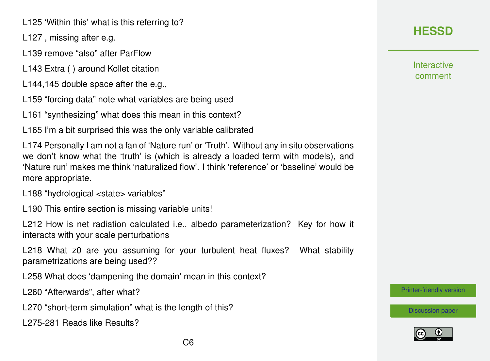L125 'Within this' what is this referring to?

L127 , missing after e.g.

L139 remove "also" after ParFlow

L143 Extra ( ) around Kollet citation

L144,145 double space after the e.g.,

L159 "forcing data" note what variables are being used

L161 "synthesizing" what does this mean in this context?

L165 I'm a bit surprised this was the only variable calibrated

L174 Personally I am not a fan of 'Nature run' or 'Truth'. Without any in situ observations we don't know what the 'truth' is (which is already a loaded term with models), and 'Nature run' makes me think 'naturalized flow'. I think 'reference' or 'baseline' would be more appropriate.

L188 "hydrological <state> variables"

L190 This entire section is missing variable units!

L212 How is net radiation calculated i.e., albedo parameterization? Key for how it interacts with your scale perturbations

L218 What z0 are you assuming for your turbulent heat fluxes? What stability parametrizations are being used??

L258 What does 'dampening the domain' mean in this context?

L260 "Afterwards", after what?

L270 "short-term simulation" what is the length of this?

L275-281 Reads like Results?

# **[HESSD](https://hess.copernicus.org/preprints/)**

**Interactive** comment

[Printer-friendly version](https://hess.copernicus.org/preprints/hess-2020-451/hess-2020-451-RC2-print.pdf)

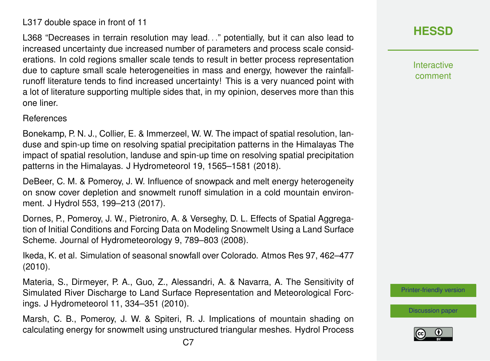increased uncertainty due increased number of parameters and process scale considerations. In cold regions smaller scale tends to result in better process representation due to capture small scale heterogeneities in mass and energy, however the rainfallrunoff literature tends to find increased uncertainty! This is a very nuanced point with a lot of literature supporting multiple sides that, in my opinion, deserves more than this one liner.

L368 "Decreases in terrain resolution may lead. . ." potentially, but it can also lead to

#### References

L317 double space in front of 11

Bonekamp, P. N. J., Collier, E. & Immerzeel, W. W. The impact of spatial resolution, landuse and spin-up time on resolving spatial precipitation patterns in the Himalayas The impact of spatial resolution, landuse and spin-up time on resolving spatial precipitation patterns in the Himalayas. J Hydrometeorol 19, 1565–1581 (2018).

DeBeer, C. M. & Pomeroy, J. W. Influence of snowpack and melt energy heterogeneity on snow cover depletion and snowmelt runoff simulation in a cold mountain environment. J Hydrol 553, 199–213 (2017).

Dornes, P., Pomeroy, J. W., Pietroniro, A. & Verseghy, D. L. Effects of Spatial Aggregation of Initial Conditions and Forcing Data on Modeling Snowmelt Using a Land Surface Scheme. Journal of Hydrometeorology 9, 789–803 (2008).

Ikeda, K. et al. Simulation of seasonal snowfall over Colorado. Atmos Res 97, 462–477 (2010).

Materia, S., Dirmeyer, P. A., Guo, Z., Alessandri, A. & Navarra, A. The Sensitivity of Simulated River Discharge to Land Surface Representation and Meteorological Forcings. J Hydrometeorol 11, 334–351 (2010).

Marsh, C. B., Pomeroy, J. W. & Spiteri, R. J. Implications of mountain shading on calculating energy for snowmelt using unstructured triangular meshes. Hydrol Process **[HESSD](https://hess.copernicus.org/preprints/)**

Interactive comment

[Printer-friendly version](https://hess.copernicus.org/preprints/hess-2020-451/hess-2020-451-RC2-print.pdf)

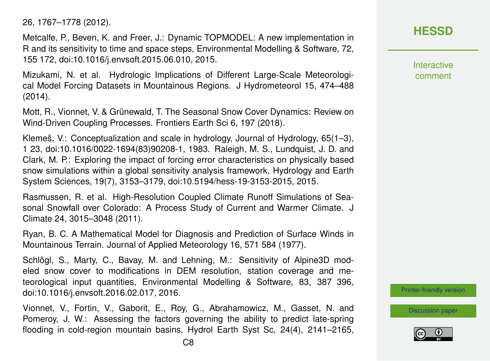26, 1767–1778 (2012).

Metcalfe, P., Beven, K. and Freer, J.: Dynamic TOPMODEL: A new implementation in R and its sensitivity to time and space steps, Environmental Modelling & Software, 72, 155 172, doi:10.1016/j.envsoft.2015.06.010, 2015.

Mizukami, N. et al. Hydrologic Implications of Different Large-Scale Meteorological Model Forcing Datasets in Mountainous Regions. J Hydrometeorol 15, 474–488 (2014).

Mott, R., Vionnet, V. & Grünewald, T. The Seasonal Snow Cover Dynamics: Review on Wind-Driven Coupling Processes. Frontiers Earth Sci 6, 197 (2018).

Klemeš, V.: Conceptualization and scale in hydrology, Journal of Hydrology, 65(1–3), 1 23, doi:10.1016/0022-1694(83)90208-1, 1983. Raleigh, M. S., Lundquist, J. D. and Clark, M. P.: Exploring the impact of forcing error characteristics on physically based snow simulations within a global sensitivity analysis framework, Hydrology and Earth System Sciences, 19(7), 3153–3179, doi:10.5194/hess-19-3153-2015, 2015.

Rasmussen, R. et al. High-Resolution Coupled Climate Runoff Simulations of Seasonal Snowfall over Colorado: A Process Study of Current and Warmer Climate. J Climate 24, 3015–3048 (2011).

Ryan, B. C. A Mathematical Model for Diagnosis and Prediction of Surface Winds in Mountainous Terrain. Journal of Applied Meteorology 16, 571 584 (1977).

Schlögl, S., Marty, C., Bavay, M. and Lehning, M.: Sensitivity of Alpine3D modeled snow cover to modifications in DEM resolution, station coverage and meteorological input quantities, Environmental Modelling & Software, 83, 387 396, doi:10.1016/j.envsoft.2016.02.017, 2016.

Vionnet, V., Fortin, V., Gaborit, E., Roy, G., Abrahamowicz, M., Gasset, N. and Pomeroy, J. W.: Assessing the factors governing the ability to predict late-spring flooding in cold-region mountain basins, Hydrol Earth Syst Sc, 24(4), 2141–2165, **Interactive** comment

**[HESSD](https://hess.copernicus.org/preprints/)**

[Printer-friendly version](https://hess.copernicus.org/preprints/hess-2020-451/hess-2020-451-RC2-print.pdf)